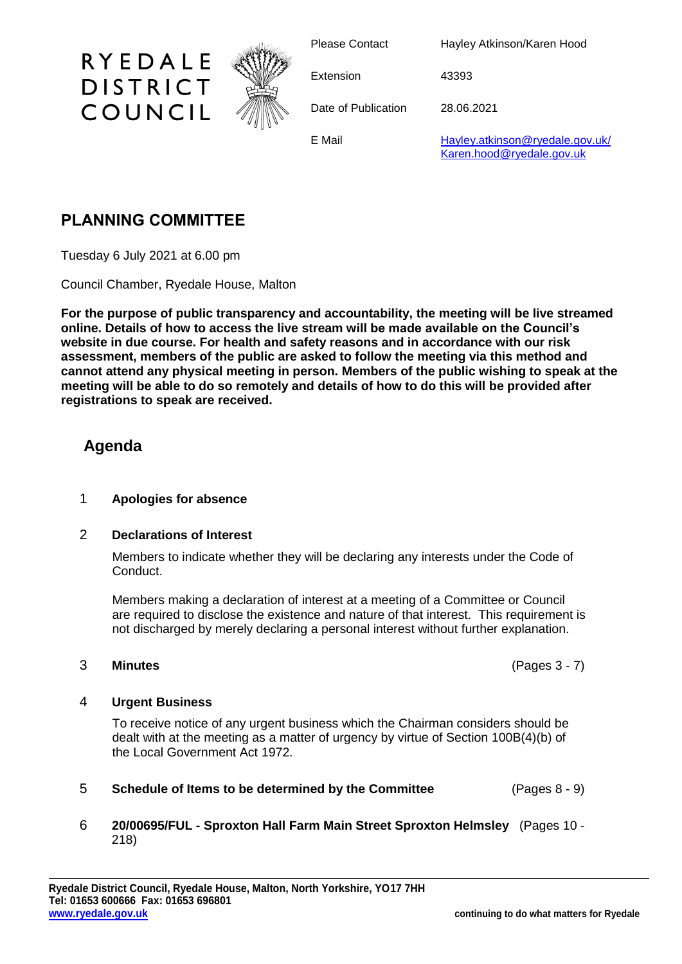

Please Contact Hayley Atkinson/Karen Hood

Extension 43393

Date of Publication 28.06.2021

E Mail **[Hayley.atkinson@ryedale.gov.uk/](mailto:Hayley.atkinson@ryedale.gov.uk/)** [Karen.hood@ryedale.gov.uk](mailto:Karen.hood@ryedale.gov.uk)

# **PLANNING COMMITTEE**

RYEDALE

**DISTRICT** 

COUNCIL

Tuesday 6 July 2021 at 6.00 pm

Council Chamber, Ryedale House, Malton

**For the purpose of public transparency and accountability, the meeting will be live streamed online. Details of how to access the live stream will be made available on the Council's website in due course. For health and safety reasons and in accordance with our risk assessment, members of the public are asked to follow the meeting via this method and cannot attend any physical meeting in person. Members of the public wishing to speak at the meeting will be able to do so remotely and details of how to do this will be provided after registrations to speak are received.**

## **Agenda**

### 1 **Apologies for absence**

### 2 **Declarations of Interest**

Members to indicate whether they will be declaring any interests under the Code of Conduct.

Members making a declaration of interest at a meeting of a Committee or Council are required to disclose the existence and nature of that interest. This requirement is not discharged by merely declaring a personal interest without further explanation.

### 3 **Minutes** (Pages 3 - 7)

### 4 **Urgent Business**

To receive notice of any urgent business which the Chairman considers should be dealt with at the meeting as a matter of urgency by virtue of Section 100B(4)(b) of the Local Government Act 1972.

5 **Schedule of Items to be determined by the Committee** (Pages 8 - 9)

### 6 **20/00695/FUL - Sproxton Hall Farm Main Street Sproxton Helmsley** (Pages 10 - 218)